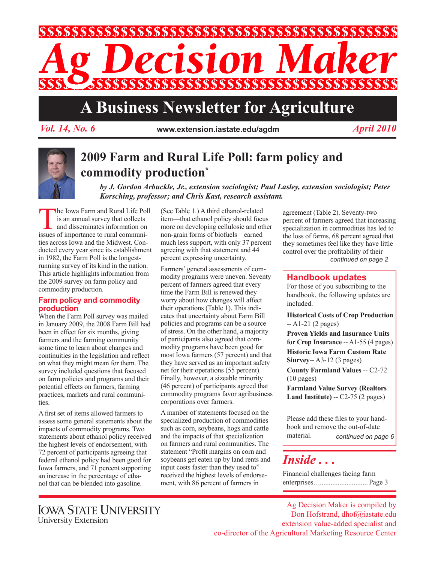

# **A Business Newsletter for Agriculture**

*Vol. 14, No. 6* **www.extension.iastate.edu/agdm** *April 2010*



# **2009 Farm and Rural Life Poll: farm policy and commodity production\***

*by J. Gordon Arbuckle, Jr., extension sociologist; Paul Lasley, extension sociologist; Peter Korsching, professor; and Chris Kast, research assistant.*

**The Iowa Farm and Rural Life Poll**<br>
is an annual survey that collects<br>
and disseminates information on<br>
issues of importance to rural communiis an annual survey that collects and disseminates information on ties across Iowa and the Midwest. Conducted every year since its establishment in 1982, the Farm Poll is the longestrunning survey of its kind in the nation. This article highlights information from the 2009 survey on farm policy and commodity production.

## **Farm policy and commodity production**

When the Farm Poll survey was mailed in January 2009, the 2008 Farm Bill had been in effect for six months, giving farmers and the farming community some time to learn about changes and continuities in the legislation and reflect on what they might mean for them. The survey included questions that focused on farm policies and programs and their potential effects on farmers, farming practices, markets and rural communities.

A first set of items allowed farmers to assess some general statements about the impacts of commodity programs. Two statements about ethanol policy received the highest levels of endorsement, with 72 percent of participants agreeing that federal ethanol policy had been good for Iowa farmers, and 71 percent supporting an increase in the percentage of ethanol that can be blended into gasoline.

(See Table 1.) A third ethanol-related item—that ethanol policy should focus more on developing cellulosic and other non-grain forms of biofuels—earned much less support, with only 37 percent agreeing with that statement and 44 percent expressing uncertainty.

Farmers' general assessments of commodity programs were uneven. Seventy percent of farmers agreed that every time the Farm Bill is renewed they worry about how changes will affect their operations (Table 1). This indicates that uncertainty about Farm Bill policies and programs can be a source of stress. On the other hand, a majority of participants also agreed that commodity programs have been good for most Iowa farmers (57 percent) and that they have served as an important safety net for their operations (55 percent). Finally, however, a sizeable minority (46 percent) of participants agreed that commodity programs favor agribusiness corporations over farmers.

A number of statements focused on the specialized production of commodities such as corn, soybeans, hogs and cattle and the impacts of that specialization on farmers and rural communities. The statement "Profit margins on corn and soybeans get eaten up by land rents and input costs faster than they used to" received the highest levels of endorsement, with 86 percent of farmers in

*continued on page 2* agreement (Table 2). Seventy-two percent of farmers agreed that increasing specialization in commodities has led to the loss of farms, 68 percent agreed that they sometimes feel like they have little control over the profitability of their

# **Handbook updates**

For those of you subscribing to the handbook, the following updates are included.

**Historical Costs of Crop Production**  -- A1-21 (2 pages)

**Proven Yields and Insurance Units for Crop Insurance** -- A1-55 (4 pages) **Historic Iowa Farm Custom Rate Siurvey**-- A3-12 (3 pages)

**County Farmland Values** -- C2-72 (10 pages)

**Farmland Value Survey (Realtors Land Institute)** -- C2-75 (2 pages)

Please add these files to your handbook and remove the out-of-date material. *continued on page 6*

# *Inside . . .*

Financial challenges facing farm enterprises.. ............................ Page 3

Ag Decision Maker is compiled by Don Hofstrand, dhof@iastate.edu extension value-added specialist and co-director of the Agricultural Marketing Resource Center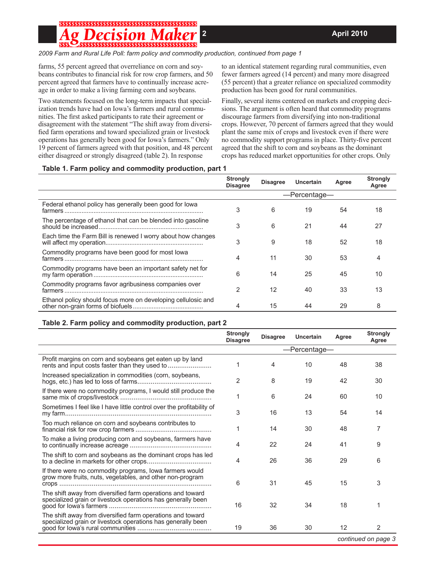# \$\$\$\$\$\$\$\$\$\$\$\$\$\$\$\$\$\$\$\$\$\$\$\$\$\$\$\$\$\$\$\$\$\$\$\$\$

*2009 Farm and Rural Life Poll: farm policy and commodity production, continued from page 1*

farms, 55 percent agreed that overreliance on corn and soybeans contributes to financial risk for row crop farmers, and 50 percent agreed that farmers have to continually increase acreage in order to make a living farming corn and soybeans.

Two statements focused on the long-term impacts that specialization trends have had on Iowa's farmers and rural communities. The first asked participants to rate their agreement or disagreement with the statement "The shift away from diversified farm operations and toward specialized grain or livestock operations has generally been good for Iowa's farmers." Only 19 percent of farmers agreed with that position, and 48 percent either disagreed or strongly disagreed (table 2). In response

to an identical statement regarding rural communities, even fewer farmers agreed (14 percent) and many more disagreed (55 percent) that a greater reliance on specialized commodity production has been good for rural communities.

Finally, several items centered on markets and cropping decisions. The argument is often heard that commodity programs discourage farmers from diversifying into non-traditional crops. However, 70 percent of farmers agreed that they would plant the same mix of crops and livestock even if there were no commodity support programs in place. Thirty-five percent agreed that the shift to corn and soybeans as the dominant crops has reduced market opportunities for other crops. Only

### **Table 1. Farm policy and commodity production, part 1**

|                                                               | <b>Strongly</b><br><b>Disagree</b> | <b>Disagree</b> | Uncertain | Agree | <b>Strongly</b><br>Agree |  |
|---------------------------------------------------------------|------------------------------------|-----------------|-----------|-------|--------------------------|--|
|                                                               |                                    | -Percentage-    |           |       |                          |  |
| Federal ethanol policy has generally been good for lowa       | 3                                  | 6               | 19        | 54    | 18                       |  |
| The percentage of ethanol that can be blended into gasoline   | 3                                  | 6               | 21        | 44    | 27                       |  |
| Each time the Farm Bill is renewed I worry about how changes  | 3                                  | 9               | 18        | 52    | 18                       |  |
| Commodity programs have been good for most lowa               | 4                                  | 11              | 30        | 53    | 4                        |  |
| Commodity programs have been an important safety net for      | 6                                  | 14              | 25        | 45    | 10                       |  |
| Commodity programs favor agribusiness companies over          | $\overline{2}$                     | 12              | 40        | 33    | 13                       |  |
| Ethanol policy should focus more on developing cellulosic and | 4                                  | 15              | 44        | 29    | 8                        |  |

## **Table 2. Farm policy and commodity production, part 2**

|                                                                                                                            | <b>Strongly</b><br><b>Disagree</b> | <b>Disagree</b> | <b>Uncertain</b> | Agree | <b>Strongly</b><br>Agree |  |  |
|----------------------------------------------------------------------------------------------------------------------------|------------------------------------|-----------------|------------------|-------|--------------------------|--|--|
|                                                                                                                            | -Percentage-                       |                 |                  |       |                          |  |  |
| Profit margins on corn and soybeans get eaten up by land<br>rents and input costs faster than they used to                 | 1                                  | 4               | 10               | 48    | 38                       |  |  |
| Increased specialization in commodities (corn, soybeans,                                                                   | $\overline{2}$                     | 8               | 19               | 42    | 30                       |  |  |
| If there were no commodity programs, I would still produce the                                                             | 1                                  | 6               | 24               | 60    | 10                       |  |  |
| Sometimes I feel like I have little control over the profitability of                                                      | 3                                  | 16              | 13               | 54    | 14                       |  |  |
| Too much reliance on corn and soybeans contributes to                                                                      | 1                                  | 14              | 30               | 48    | 7                        |  |  |
| To make a living producing corn and soybeans, farmers have                                                                 | 4                                  | 22              | 24               | 41    | 9                        |  |  |
| The shift to corn and soybeans as the dominant crops has led                                                               | 4                                  | 26              | 36               | 29    | 6                        |  |  |
| If there were no commodity programs, lowa farmers would<br>grow more fruits, nuts, vegetables, and other non-program       | 6                                  | 31              | 45               | 15    | 3                        |  |  |
| The shift away from diversified farm operations and toward<br>specialized grain or livestock operations has generally been | 16                                 | 32              | 34               | 18    | 1                        |  |  |
| The shift away from diversified farm operations and toward<br>specialized grain or livestock operations has generally been | 19                                 | 36              | 30               | 12    | 2                        |  |  |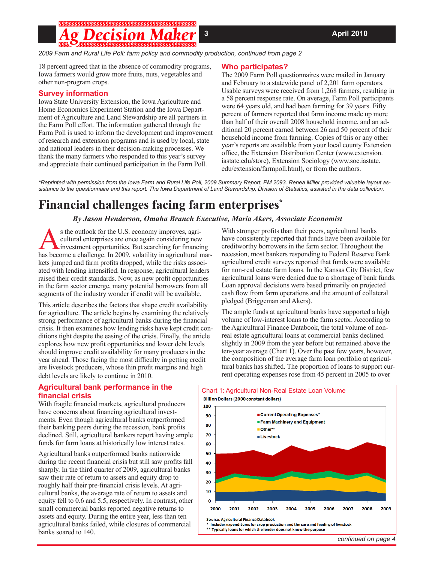# ;\$\$\$\$\$\$\$\$\$\$\$\$\$\$\$\$\$\$\$\$\$\$\$\$\$\$\$\$\$\$\$\$\$\$\$\$\$

*2009 Farm and Rural Life Poll: farm policy and commodity production, continued from page 2*

18 percent agreed that in the absence of commodity programs, Iowa farmers would grow more fruits, nuts, vegetables and other non-program crops.

#### **Survey information**

Iowa State University Extension, the Iowa Agriculture and Home Economics Experiment Station and the Iowa Department of Agriculture and Land Stewardship are all partners in the Farm Poll effort. The information gathered through the Farm Poll is used to inform the development and improvement of research and extension programs and is used by local, state and national leaders in their decision-making processes. We thank the many farmers who responded to this year's survey and appreciate their continued participation in the Farm Poll.

#### **Who participates?**

The 2009 Farm Poll questionnaires were mailed in January and February to a statewide panel of 2,201 farm operators. Usable surveys were received from 1,268 farmers, resulting in a 58 percent response rate. On average, Farm Poll participants were 64 years old, and had been farming for 39 years. Fifty percent of farmers reported that farm income made up more than half of their overall 2008 household income, and an additional 20 percent earned between 26 and 50 percent of their household income from farming. Copies of this or any other year's reports are available from your local county Extension office, the Extension Distribution Center (www.extension. iastate.edu/store), Extension Sociology (www.soc.iastate. edu/extension/farmpoll.html), or from the authors.

*\*Reprinted with permission from the Iowa Farm and Rural Life Poll, 2009 Summary Report, PM 2093. Renea Miller provided valuable layout assistance to the questionnaire and this report. The Iowa Department of Land Stewardship, Division of Statistics, assisted in the data collection.*

# **Financial challenges facing farm enterprises\***

## *By Jason Henderson, Omaha Branch Executive, Maria Akers, Associate Economist*

s the outlook for the U.S. economy improves, agricultural enterprises are once again considering new investment opportunities. But searching for financing has become a challenge. In 2009, volatility in agricultural markets jumped and farm profits dropped, while the risks associated with lending intensified. In response, agricultural lenders raised their credit standards. Now, as new profit opportunities in the farm sector emerge, many potential borrowers from all segments of the industry wonder if credit will be available.

This article describes the factors that shape credit availability for agriculture. The article begins by examining the relatively strong performance of agricultural banks during the financial crisis. It then examines how lending risks have kept credit conditions tight despite the easing of the crisis. Finally, the article explores how new profit opportunities and lower debt levels should improve credit availability for many producers in the year ahead. Those facing the most difficulty in getting credit are livestock producers, whose thin profit margins and high debt levels are likely to continue in 2010.

#### **Agricultural bank performance in the financial crisis**

With fragile financial markets, agricultural producers have concerns about financing agricultural investments. Even though agricultural banks outperformed their banking peers during the recession, bank profits declined. Still, agricultural bankers report having ample funds for farm loans at historically low interest rates.

Agricultural banks outperformed banks nationwide during the recent financial crisis but still saw profits fall sharply. In the third quarter of 2009, agricultural banks saw their rate of return to assets and equity drop to roughly half their pre-financial crisis levels. At agricultural banks, the average rate of return to assets and equity fell to 0.6 and 5.5, respectively. In contrast, other small commercial banks reported negative returns to assets and equity. During the entire year, less than ten agricultural banks failed, while closures of commercial banks soared to 140.

With stronger profits than their peers, agricultural banks have consistently reported that funds have been available for creditworthy borrowers in the farm sector. Throughout the recession, most bankers responding to Federal Reserve Bank agricultural credit surveys reported that funds were available for non-real estate farm loans. In the Kansas City District, few agricultural loans were denied due to a shortage of bank funds. Loan approval decisions were based primarily on projected cash flow from farm operations and the amount of collateral pledged (Briggeman and Akers).

The ample funds at agricultural banks have supported a high volume of low-interest loans to the farm sector. According to the Agricultural Finance Databook, the total volume of nonreal estate agricultural loans at commercial banks declined slightly in 2009 from the year before but remained above the ten-year average (Chart 1). Over the past few years, however, the composition of the average farm loan portfolio at agricultural banks has shifted. The proportion of loans to support current operating expenses rose from 45 percent in 2005 to over



Chart 1: Agricultural Non-Real Estate Loan Volume

*continued on page 4*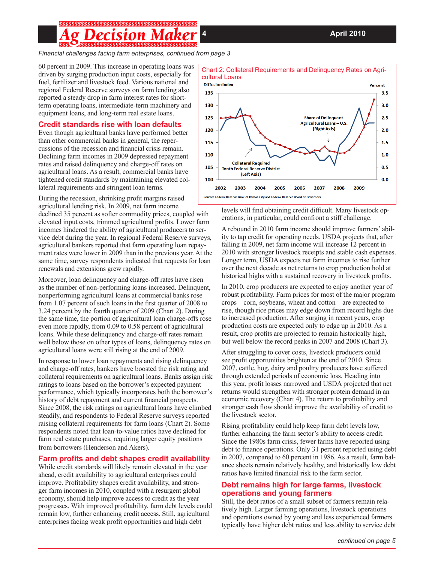# 

*Financial challenges facing farm enterprises, continued from page 3*

60 percent in 2009. This increase in operating loans was driven by surging production input costs, especially for fuel, fertilizer and livestock feed. Various national and regional Federal Reserve surveys on farm lending also reported a steady drop in farm interest rates for shortterm operating loans, intermediate-term machinery and equipment loans, and long-term real estate loans.

### **Credit standards rise with loan defaults**

Even though agricultural banks have performed better than other commercial banks in general, the repercussions of the recession and financial crisis remain. Declining farm incomes in 2009 depressed repayment rates and raised delinquency and charge-off rates on agricultural loans. As a result, commercial banks have tightened credit standards by maintaining elevated collateral requirements and stringent loan terms.

During the recession, shrinking profit margins raised agricultural lending risk. In 2009, net farm income

declined 35 percent as softer commodity prices, coupled with elevated input costs, trimmed agricultural profits. Lower farm incomes hindered the ability of agricultural producers to service debt during the year. In regional Federal Reserve surveys, agricultural bankers reported that farm operating loan repayment rates were lower in 2009 than in the previous year. At the same time, survey respondents indicated that requests for loan renewals and extensions grew rapidly.

Moreover, loan delinquency and charge-off rates have risen as the number of non-performing loans increased. Delinquent, nonperforming agricultural loans at commercial banks rose from 1.07 percent of such loans in the first quarter of 2008 to 3.24 percent by the fourth quarter of 2009 (Chart 2). During the same time, the portion of agricultural loan charge-offs rose even more rapidly, from 0.09 to 0.58 percent of agricultural loans. While these delinquency and charge-off rates remain well below those on other types of loans, delinquency rates on agricultural loans were still rising at the end of 2009.

In response to lower loan repayments and rising delinquency and charge-off rates, bankers have boosted the risk rating and collateral requirements on agricultural loans. Banks assign risk ratings to loans based on the borrower's expected payment performance, which typically incorporates both the borrower's history of debt repayment and current financial prospects. Since 2008, the risk ratings on agricultural loans have climbed steadily, and respondents to Federal Reserve surveys reported raising collateral requirements for farm loans (Chart 2). Some respondents noted that loan-to-value ratios have declined for farm real estate purchases, requiring larger equity positions from borrowers (Henderson and Akers).

## **Farm profits and debt shapes credit availability**

While credit standards will likely remain elevated in the year ahead, credit availability to agricultural enterprises could improve. Profitability shapes credit availability, and stronger farm incomes in 2010, coupled with a resurgent global economy, should help improve access to credit as the year progresses. With improved profitability, farm debt levels could remain low, further enhancing credit access. Still, agricultural enterprises facing weak profit opportunities and high debt



# Chart 2: Collateral Requirements and Delinquency Rates on Agri-

levels will find obtaining credit difficult. Many livestock operations, in particular, could confront a stiff challenge.

A rebound in 2010 farm income should improve farmers' ability to tap credit for operating needs. USDA projects that, after falling in 2009, net farm income will increase 12 percent in 2010 with stronger livestock receipts and stable cash expenses. Longer term, USDA expects net farm incomes to rise further over the next decade as net returns to crop production hold at historical highs with a sustained recovery in livestock profits.

In 2010, crop producers are expected to enjoy another year of robust profitability. Farm prices for most of the major program crops – corn, soybeans, wheat and cotton – are expected to rise, though rice prices may edge down from record highs due to increased production. After surging in recent years, crop production costs are expected only to edge up in 2010. As a result, crop profits are projected to remain historically high, but well below the record peaks in 2007 and 2008 (Chart 3).

After struggling to cover costs, livestock producers could see profit opportunities brighten at the end of 2010. Since 2007, cattle, hog, dairy and poultry producers have suffered through extended periods of economic loss. Heading into this year, profit losses narrowed and USDA projected that net returns would strengthen with stronger protein demand in an economic recovery (Chart 4). The return to profitability and stronger cash flow should improve the availability of credit to the livestock sector.

Rising profitability could help keep farm debt levels low, further enhancing the farm sector's ability to access credit. Since the 1980s farm crisis, fewer farms have reported using debt to finance operations. Only 31 percent reported using debt in 2007, compared to 60 percent in 1986. As a result, farm balance sheets remain relatively healthy, and historically low debt ratios have limited financial risk to the farm sector.

# **Debt remains high for large farms, livestock operations and young farmers**

Still, the debt ratios of a small subset of farmers remain relatively high. Larger farming operations, livestock operations and operations owned by young and less experienced farmers typically have higher debt ratios and less ability to service debt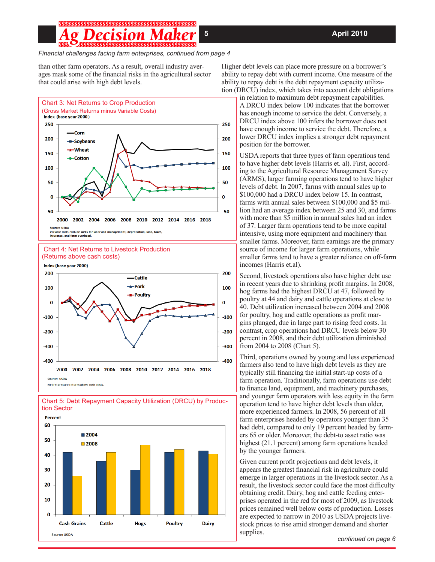# ;\$\$\$\$\$\$\$\$\$\$\$\$\$\$\$\$\$\$\$\$\$\$\$\$\$\$\$\$\$\$\$\$\$\$\$\$\$

#### *Financial challenges facing farm enterprises, continued from page 4*

than other farm operators. As a result, overall industry averages mask some of the financial risks in the agricultural sector that could arise with high debt levels.



iriable costs exclude costs for labor and manag<br>surance, and farm overhead.







Higher debt levels can place more pressure on a borrower's ability to repay debt with current income. One measure of the ability to repay debt is the debt repayment capacity utilization (DRCU) index, which takes into account debt obligations

in relation to maximum debt repayment capabilities. A DRCU index below 100 indicates that the borrower has enough income to service the debt. Conversely, a DRCU index above 100 infers the borrower does not have enough income to service the debt. Therefore, a lower DRCU index implies a stronger debt repayment position for the borrower.

USDA reports that three types of farm operations tend to have higher debt levels (Harris et. al). First, according to the Agricultural Resource Management Survey (ARMS), larger farming operations tend to have higher levels of debt. In 2007, farms with annual sales up to \$100,000 had a DRCU index below 15. In contrast, farms with annual sales between \$100,000 and \$5 million had an average index between 25 and 30, and farms with more than \$5 million in annual sales had an index of 37. Larger farm operations tend to be more capital intensive, using more equipment and machinery than smaller farms. Moreover, farm earnings are the primary source of income for larger farm operations, while smaller farms tend to have a greater reliance on off-farm incomes (Harris et.al).

Second, livestock operations also have higher debt use in recent years due to shrinking profit margins. In 2008, hog farms had the highest DRCU at 47, followed by poultry at 44 and dairy and cattle operations at close to 40. Debt utilization increased between 2004 and 2008 for poultry, hog and cattle operations as profit margins plunged, due in large part to rising feed costs. In contrast, crop operations had DRCU levels below 30 percent in 2008, and their debt utilization diminished from 2004 to 2008 (Chart 5).

Third, operations owned by young and less experienced farmers also tend to have high debt levels as they are typically still financing the initial start-up costs of a farm operation. Traditionally, farm operations use debt to finance land, equipment, and machinery purchases, and younger farm operators with less equity in the farm operation tend to have higher debt levels than older, more experienced farmers. In 2008, 56 percent of all farm enterprises headed by operators younger than 35 had debt, compared to only 19 percent headed by farmers 65 or older. Moreover, the debt-to asset ratio was highest (21.1 percent) among farm operations headed by the younger farmers.

Given current profit projections and debt levels, it appears the greatest financial risk in agriculture could emerge in larger operations in the livestock sector. As a result, the livestock sector could face the most difficulty obtaining credit. Dairy, hog and cattle feeding enterprises operated in the red for most of 2009, as livestock prices remained well below costs of production. Losses are expected to narrow in 2010 as USDA projects livestock prices to rise amid stronger demand and shorter supplies.

#### *continued on page 6*